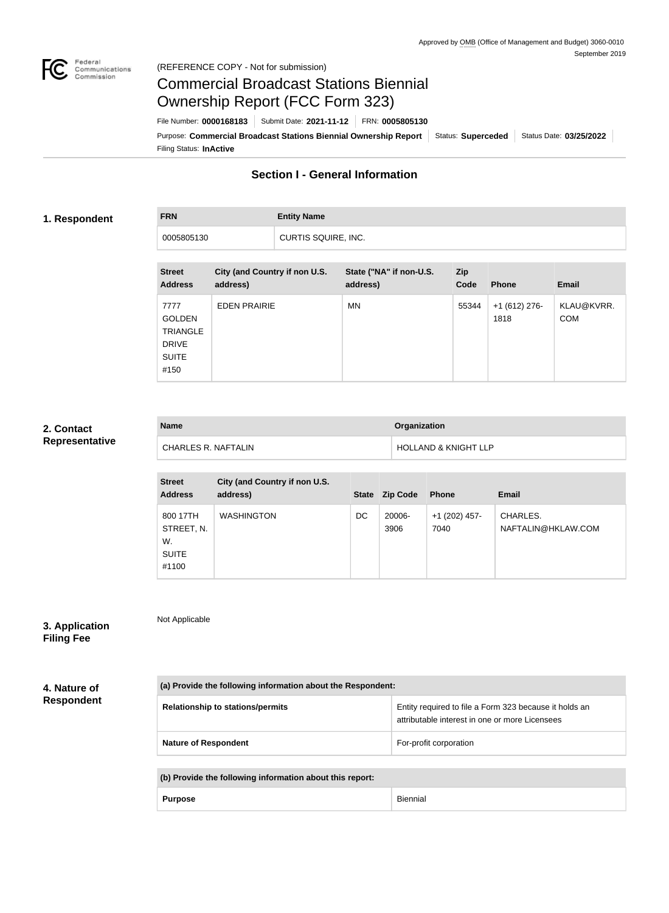

# Commercial Broadcast Stations Biennial Ownership Report (FCC Form 323)

Filing Status: **InActive** Purpose: Commercial Broadcast Stations Biennial Ownership Report | Status: Superceded | Status Date: 03/25/2022 File Number: **0000168183** Submit Date: **2021-11-12** FRN: **0005805130**

# **Section I - General Information**

### **1. Respondent**

**FRN Entity Name**

0005805130 CURTIS SQUIRE, INC.

| <b>Street</b><br><b>Address</b>                                                  | City (and Country if non U.S.<br>address) | State ("NA" if non-U.S.<br>address) | <b>Zip</b><br>Code | <b>Phone</b>           | <b>Email</b>             |
|----------------------------------------------------------------------------------|-------------------------------------------|-------------------------------------|--------------------|------------------------|--------------------------|
| 7777<br><b>GOLDEN</b><br><b>TRIANGLE</b><br><b>DRIVE</b><br><b>SUITE</b><br>#150 | <b>EDEN PRAIRIE</b>                       | <b>MN</b>                           | 55344              | $+1(612)$ 276-<br>1818 | KLAU@KVRR.<br><b>COM</b> |

#### **2. Contact Representative**

| <b>Name</b>                | <b>Organization</b>             |
|----------------------------|---------------------------------|
| <b>CHARLES R. NAFTALIN</b> | <b>HOLLAND &amp; KNIGHT LLP</b> |

| <b>Street</b><br><b>Address</b>                       | City (and Country if non U.S.<br>address) | <b>State</b> | <b>Zip Code</b> | <b>Phone</b>            | <b>Email</b>                   |
|-------------------------------------------------------|-------------------------------------------|--------------|-----------------|-------------------------|--------------------------------|
| 800 17TH<br>STREET, N.<br>W.<br><b>SUITE</b><br>#1100 | <b>WASHINGTON</b>                         | DC           | 20006-<br>3906  | $+1$ (202) 457-<br>7040 | CHARLES.<br>NAFTALIN@HKLAW.COM |

# **3. Application**

Not Applicable

**Filing Fee**

**4. Nature of** 

**Respondent**

| (a) Provide the following information about the Respondent: |                                                                                                          |  |  |
|-------------------------------------------------------------|----------------------------------------------------------------------------------------------------------|--|--|
| <b>Relationship to stations/permits</b>                     | Entity required to file a Form 323 because it holds an<br>attributable interest in one or more Licensees |  |  |
| <b>Nature of Respondent</b>                                 | For-profit corporation                                                                                   |  |  |

| (b) Provide the following information about this report: |                |          |
|----------------------------------------------------------|----------------|----------|
|                                                          | <b>Purpose</b> | Biennial |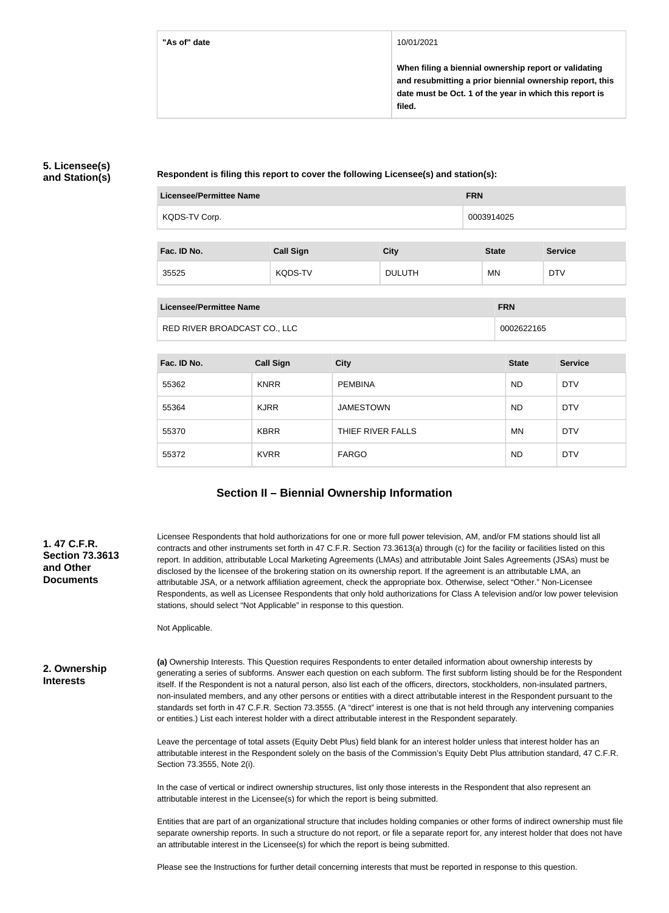#### **"As of" date** 10/01/2021

**When filing a biennial ownership report or validating and resubmitting a prior biennial ownership report, this date must be Oct. 1 of the year in which this report is filed.**

### **5. Licensee(s) and Station(s)**

**Respondent is filing this report to cover the following Licensee(s) and station(s):**

| <b>Licensee/Permittee Name</b> | <b>FRN</b>       |               |              |                |  |  |
|--------------------------------|------------------|---------------|--------------|----------------|--|--|
| KQDS-TV Corp.                  |                  |               | 0003914025   |                |  |  |
| Fac. ID No.                    | <b>Call Sign</b> | <b>City</b>   | <b>State</b> | <b>Service</b> |  |  |
| 35525                          | <b>KQDS-TV</b>   | <b>DULUTH</b> | <b>MN</b>    | <b>DTV</b>     |  |  |

| Licensee/Permittee Name      | <b>FRN</b> |
|------------------------------|------------|
| RED RIVER BROADCAST CO., LLC | 0002622165 |

| Fac. ID No. | <b>Call Sign</b> | <b>City</b>       | <b>State</b> | <b>Service</b> |
|-------------|------------------|-------------------|--------------|----------------|
| 55362       | <b>KNRR</b>      | <b>PEMBINA</b>    | <b>ND</b>    | <b>DTV</b>     |
| 55364       | <b>KJRR</b>      | <b>JAMESTOWN</b>  | <b>ND</b>    | <b>DTV</b>     |
| 55370       | <b>KBRR</b>      | THIEF RIVER FALLS | <b>MN</b>    | <b>DTV</b>     |
| 55372       | <b>KVRR</b>      | <b>FARGO</b>      | <b>ND</b>    | <b>DTV</b>     |

# **Section II – Biennial Ownership Information**

| 1.47 C.F.R.<br><b>Section 73.3613</b><br>and Other<br><b>Documents</b> | Licensee Respondents that hold authorizations for one or more full power television, AM, and/or FM stations should list all<br>contracts and other instruments set forth in 47 C.F.R. Section 73.3613(a) through (c) for the facility or facilities listed on this<br>report. In addition, attributable Local Marketing Agreements (LMAs) and attributable Joint Sales Agreements (JSAs) must be<br>disclosed by the licensee of the brokering station on its ownership report. If the agreement is an attributable LMA, an<br>attributable JSA, or a network affiliation agreement, check the appropriate box. Otherwise, select "Other." Non-Licensee<br>Respondents, as well as Licensee Respondents that only hold authorizations for Class A television and/or low power television<br>stations, should select "Not Applicable" in response to this question. |
|------------------------------------------------------------------------|--------------------------------------------------------------------------------------------------------------------------------------------------------------------------------------------------------------------------------------------------------------------------------------------------------------------------------------------------------------------------------------------------------------------------------------------------------------------------------------------------------------------------------------------------------------------------------------------------------------------------------------------------------------------------------------------------------------------------------------------------------------------------------------------------------------------------------------------------------------------|
|                                                                        | Not Applicable.                                                                                                                                                                                                                                                                                                                                                                                                                                                                                                                                                                                                                                                                                                                                                                                                                                                    |
| 2. Ownership<br><b>Interests</b>                                       | (a) Ownership Interests. This Question requires Respondents to enter detailed information about ownership interests by<br>generating a series of subforms. Answer each question on each subform. The first subform listing should be for the Respondent<br>itself. If the Respondent is not a natural person, also list each of the officers, directors, stockholders, non-insulated partners,<br>non-insulated members, and any other persons or entities with a direct attributable interest in the Respondent pursuant to the<br>standards set forth in 47 C.F.R. Section 73.3555. (A "direct" interest is one that is not held through any intervening companies<br>or entities.) List each interest holder with a direct attributable interest in the Respondent separately.                                                                                  |
|                                                                        | Leave the percentage of total assets (Equity Debt Plus) field blank for an interest holder unless that interest holder has an<br>attributable interest in the Respondent solely on the basis of the Commission's Equity Debt Plus attribution standard, 47 C.F.R.<br>Section 73.3555, Note 2(i).                                                                                                                                                                                                                                                                                                                                                                                                                                                                                                                                                                   |
|                                                                        | In the case of vertical or indirect ownership structures, list only those interests in the Respondent that also represent an<br>attributable interest in the Licensee(s) for which the report is being submitted.                                                                                                                                                                                                                                                                                                                                                                                                                                                                                                                                                                                                                                                  |
|                                                                        | Entities that are part of an organizational structure that includes holding companies or other forms of indirect ownership must file<br>separate ownership reports. In such a structure do not report, or file a separate report for, any interest holder that does not have<br>an attributable interest in the Licensee(s) for which the report is being submitted.                                                                                                                                                                                                                                                                                                                                                                                                                                                                                               |
|                                                                        | Dlogge and the Instructions for further detail concerning interests that must be reported in reponses to this quantion                                                                                                                                                                                                                                                                                                                                                                                                                                                                                                                                                                                                                                                                                                                                             |

Please see the Instructions for further detail concerning interests that must be reported in response to this question.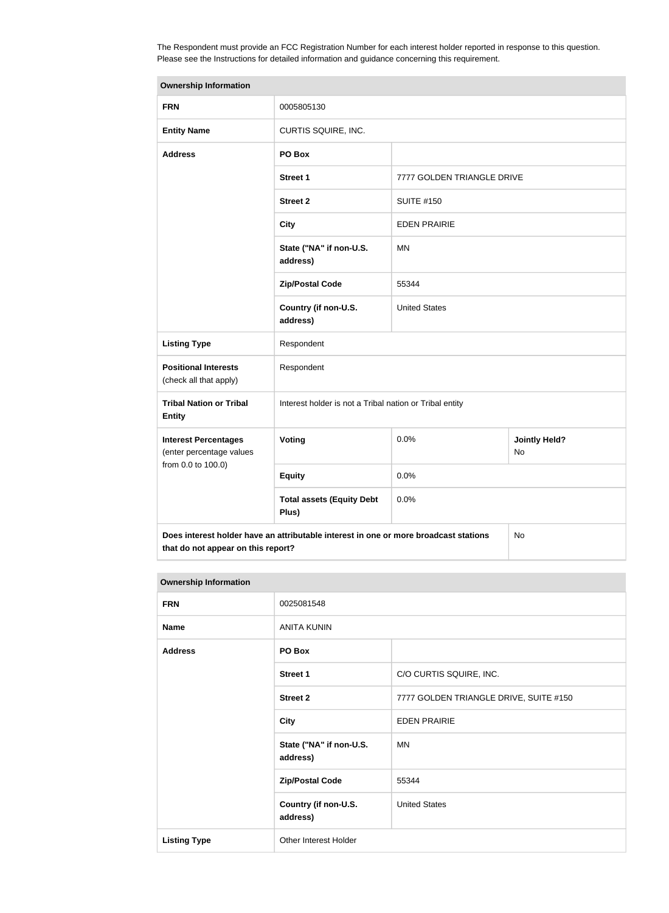The Respondent must provide an FCC Registration Number for each interest holder reported in response to this question. Please see the Instructions for detailed information and guidance concerning this requirement.

| <b>Ownership Information</b>                                                               |                                                         |                            |                            |  |
|--------------------------------------------------------------------------------------------|---------------------------------------------------------|----------------------------|----------------------------|--|
| <b>FRN</b>                                                                                 | 0005805130                                              |                            |                            |  |
| <b>Entity Name</b>                                                                         | CURTIS SQUIRE, INC.                                     |                            |                            |  |
| <b>Address</b>                                                                             | PO Box                                                  |                            |                            |  |
|                                                                                            | Street 1                                                | 7777 GOLDEN TRIANGLE DRIVE |                            |  |
|                                                                                            | <b>Street 2</b>                                         | <b>SUITE #150</b>          |                            |  |
|                                                                                            | <b>City</b>                                             | <b>EDEN PRAIRIE</b>        |                            |  |
|                                                                                            | State ("NA" if non-U.S.<br>address)                     | <b>MN</b>                  |                            |  |
|                                                                                            | <b>Zip/Postal Code</b>                                  | 55344                      |                            |  |
|                                                                                            | Country (if non-U.S.<br>address)                        | <b>United States</b>       |                            |  |
| <b>Listing Type</b>                                                                        | Respondent                                              |                            |                            |  |
| <b>Positional Interests</b><br>(check all that apply)                                      | Respondent                                              |                            |                            |  |
| <b>Tribal Nation or Tribal</b><br><b>Entity</b>                                            | Interest holder is not a Tribal nation or Tribal entity |                            |                            |  |
| <b>Interest Percentages</b><br>(enter percentage values                                    | Voting                                                  | 0.0%                       | <b>Jointly Held?</b><br>No |  |
| from 0.0 to 100.0)                                                                         | <b>Equity</b>                                           | 0.0%                       |                            |  |
|                                                                                            | <b>Total assets (Equity Debt</b><br>Plus)               | 0.0%                       |                            |  |
| Does interest holder have an attributable interest in one or more broadcast stations<br>No |                                                         |                            |                            |  |

**that do not appear on this report?**

| <b>Ownership Information</b> |                                     |                                        |  |
|------------------------------|-------------------------------------|----------------------------------------|--|
| <b>FRN</b>                   | 0025081548                          |                                        |  |
| <b>Name</b>                  | <b>ANITA KUNIN</b>                  |                                        |  |
| <b>Address</b>               | PO Box                              |                                        |  |
|                              | <b>Street 1</b>                     | C/O CURTIS SQUIRE, INC.                |  |
|                              | <b>Street 2</b>                     | 7777 GOLDEN TRIANGLE DRIVE, SUITE #150 |  |
|                              | <b>City</b>                         | <b>EDEN PRAIRIE</b>                    |  |
|                              | State ("NA" if non-U.S.<br>address) | <b>MN</b>                              |  |
|                              | <b>Zip/Postal Code</b>              | 55344                                  |  |
|                              | Country (if non-U.S.<br>address)    | <b>United States</b>                   |  |
| <b>Listing Type</b>          | Other Interest Holder               |                                        |  |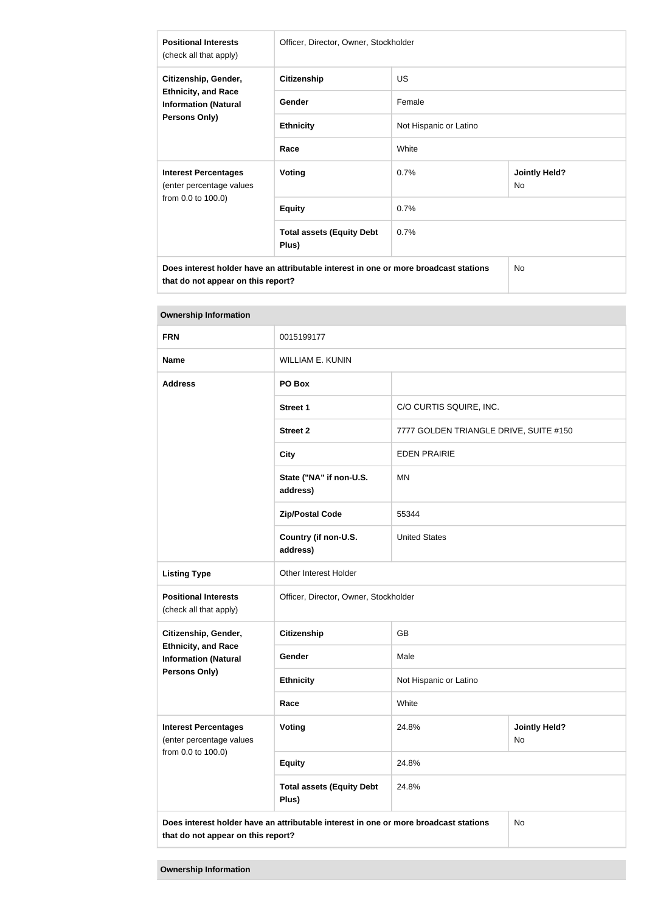| <b>Positional Interests</b><br>(check all that apply)                                             | Officer, Director, Owner, Stockholder     |                        |                                   |  |
|---------------------------------------------------------------------------------------------------|-------------------------------------------|------------------------|-----------------------------------|--|
| Citizenship, Gender,                                                                              | <b>Citizenship</b>                        | <b>US</b>              |                                   |  |
| <b>Ethnicity, and Race</b><br><b>Information (Natural</b>                                         | Gender                                    | Female                 |                                   |  |
| Persons Only)                                                                                     | <b>Ethnicity</b>                          | Not Hispanic or Latino |                                   |  |
|                                                                                                   | Race                                      | White                  |                                   |  |
| <b>Interest Percentages</b><br>(enter percentage values                                           | Voting                                    | 0.7%                   | <b>Jointly Held?</b><br><b>No</b> |  |
| from 0.0 to 100.0)                                                                                | <b>Equity</b>                             | 0.7%                   |                                   |  |
|                                                                                                   | <b>Total assets (Equity Debt</b><br>Plus) | 0.7%                   |                                   |  |
| Does interest holder have an attributable interest in one or more broadcast stations<br><b>No</b> |                                           |                        |                                   |  |

| <b>Ownership Information</b>                                                  |                                                                                      |                                        |                            |  |
|-------------------------------------------------------------------------------|--------------------------------------------------------------------------------------|----------------------------------------|----------------------------|--|
| <b>FRN</b>                                                                    | 0015199177                                                                           |                                        |                            |  |
| <b>Name</b>                                                                   | <b>WILLIAM E. KUNIN</b>                                                              |                                        |                            |  |
| <b>Address</b>                                                                | PO Box                                                                               |                                        |                            |  |
|                                                                               | <b>Street 1</b>                                                                      | C/O CURTIS SQUIRE, INC.                |                            |  |
|                                                                               | <b>Street 2</b>                                                                      | 7777 GOLDEN TRIANGLE DRIVE, SUITE #150 |                            |  |
|                                                                               | <b>City</b>                                                                          | <b>EDEN PRAIRIE</b>                    |                            |  |
|                                                                               | State ("NA" if non-U.S.<br>address)                                                  | <b>MN</b>                              |                            |  |
|                                                                               | <b>Zip/Postal Code</b>                                                               | 55344                                  |                            |  |
|                                                                               | Country (if non-U.S.<br>address)                                                     | <b>United States</b>                   |                            |  |
| <b>Listing Type</b>                                                           | <b>Other Interest Holder</b>                                                         |                                        |                            |  |
| <b>Positional Interests</b><br>(check all that apply)                         | Officer, Director, Owner, Stockholder                                                |                                        |                            |  |
| Citizenship, Gender,                                                          | <b>Citizenship</b>                                                                   | <b>GB</b>                              |                            |  |
| <b>Ethnicity, and Race</b><br><b>Information (Natural</b>                     | Gender                                                                               | Male                                   |                            |  |
| <b>Persons Only)</b>                                                          | <b>Ethnicity</b>                                                                     | Not Hispanic or Latino                 |                            |  |
|                                                                               | Race                                                                                 | White                                  |                            |  |
| <b>Interest Percentages</b><br>(enter percentage values<br>from 0.0 to 100.0) | Voting                                                                               | 24.8%                                  | <b>Jointly Held?</b><br>No |  |
|                                                                               | <b>Equity</b>                                                                        | 24.8%                                  |                            |  |
|                                                                               | <b>Total assets (Equity Debt</b><br>Plus)                                            | 24.8%                                  |                            |  |
|                                                                               | Does interest holder have an attributable interest in one or more broadcast stations |                                        | No                         |  |

**Does interest holder have an attributable interest in one or more broadcast stations that do not appear on this report?**

**that do not appear on this report?**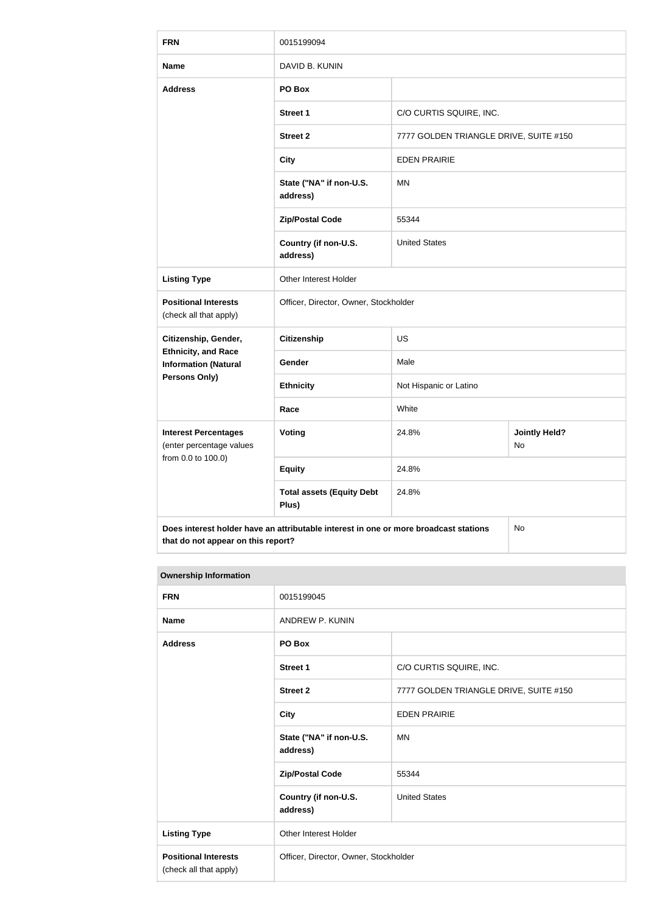| <b>FRN</b>                                                | 0015199094                                                                           |                                        |    |  |
|-----------------------------------------------------------|--------------------------------------------------------------------------------------|----------------------------------------|----|--|
| <b>Name</b>                                               | DAVID B. KUNIN                                                                       |                                        |    |  |
| <b>Address</b>                                            | PO Box                                                                               |                                        |    |  |
|                                                           | <b>Street 1</b>                                                                      | C/O CURTIS SQUIRE, INC.                |    |  |
|                                                           | <b>Street 2</b>                                                                      | 7777 GOLDEN TRIANGLE DRIVE, SUITE #150 |    |  |
|                                                           | <b>City</b>                                                                          | <b>EDEN PRAIRIE</b>                    |    |  |
|                                                           | State ("NA" if non-U.S.<br>address)                                                  | <b>MN</b>                              |    |  |
|                                                           | <b>Zip/Postal Code</b>                                                               | 55344                                  |    |  |
|                                                           | Country (if non-U.S.<br>address)                                                     | <b>United States</b>                   |    |  |
| <b>Listing Type</b>                                       | Other Interest Holder                                                                |                                        |    |  |
| <b>Positional Interests</b><br>(check all that apply)     | Officer, Director, Owner, Stockholder                                                |                                        |    |  |
| Citizenship, Gender,                                      | <b>Citizenship</b><br><b>US</b>                                                      |                                        |    |  |
| <b>Ethnicity, and Race</b><br><b>Information (Natural</b> | Gender                                                                               | Male                                   |    |  |
| <b>Persons Only)</b>                                      | <b>Ethnicity</b>                                                                     | Not Hispanic or Latino                 |    |  |
|                                                           | Race                                                                                 | White                                  |    |  |
| <b>Interest Percentages</b><br>(enter percentage values   | Voting                                                                               | <b>Jointly Held?</b><br>24.8%<br>No    |    |  |
| from 0.0 to 100.0)                                        | <b>Equity</b>                                                                        | 24.8%                                  |    |  |
|                                                           | <b>Total assets (Equity Debt</b><br>Plus)                                            | 24.8%                                  |    |  |
| that do not appear on this report?                        | Does interest holder have an attributable interest in one or more broadcast stations |                                        | No |  |

| <b>Ownership Information</b> |
|------------------------------|
|                              |

| <b>FRN</b>                                            | 0015199045                            |                                        |  |
|-------------------------------------------------------|---------------------------------------|----------------------------------------|--|
| <b>Name</b>                                           | ANDREW P. KUNIN                       |                                        |  |
| <b>Address</b>                                        | PO Box                                |                                        |  |
|                                                       | <b>Street 1</b>                       | C/O CURTIS SQUIRE, INC.                |  |
|                                                       | <b>Street 2</b>                       | 7777 GOLDEN TRIANGLE DRIVE, SUITE #150 |  |
|                                                       | <b>City</b>                           | <b>EDEN PRAIRIE</b>                    |  |
|                                                       | State ("NA" if non-U.S.<br>address)   | MN                                     |  |
|                                                       | <b>Zip/Postal Code</b>                | 55344                                  |  |
|                                                       | Country (if non-U.S.<br>address)      | <b>United States</b>                   |  |
| <b>Listing Type</b>                                   | Other Interest Holder                 |                                        |  |
| <b>Positional Interests</b><br>(check all that apply) | Officer, Director, Owner, Stockholder |                                        |  |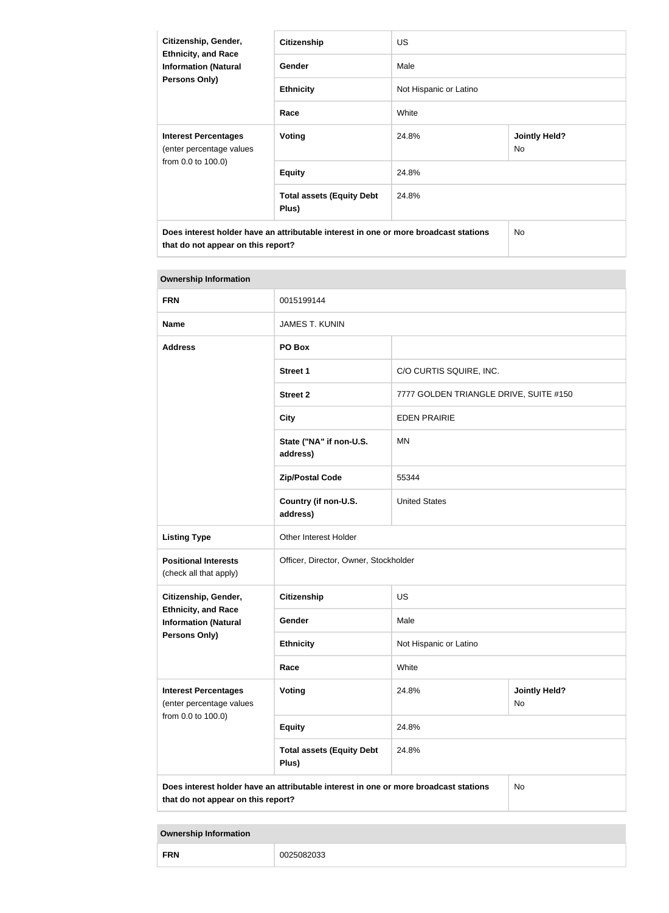| Citizenship, Gender,<br><b>Ethnicity, and Race</b><br><b>Information (Natural</b><br>Persons Only)                         | <b>Citizenship</b>                        | US.                    |                            |  |
|----------------------------------------------------------------------------------------------------------------------------|-------------------------------------------|------------------------|----------------------------|--|
|                                                                                                                            | Gender                                    | Male                   |                            |  |
|                                                                                                                            | <b>Ethnicity</b>                          | Not Hispanic or Latino |                            |  |
|                                                                                                                            | Race                                      | White                  |                            |  |
| <b>Interest Percentages</b><br>(enter percentage values<br>from 0.0 to 100.0)                                              | <b>Voting</b>                             | 24.8%                  | <b>Jointly Held?</b><br>No |  |
|                                                                                                                            | <b>Equity</b>                             | 24.8%                  |                            |  |
|                                                                                                                            | <b>Total assets (Equity Debt</b><br>Plus) | 24.8%                  |                            |  |
| Does interest holder have an attributable interest in one or more broadcast stations<br>that do not appear on this report? |                                           | No.                    |                            |  |

| <b>Ownership Information</b>                              |                                                                                      |                                        |                            |
|-----------------------------------------------------------|--------------------------------------------------------------------------------------|----------------------------------------|----------------------------|
| <b>FRN</b>                                                | 0015199144                                                                           |                                        |                            |
| <b>Name</b>                                               | <b>JAMES T. KUNIN</b>                                                                |                                        |                            |
| <b>Address</b>                                            | PO Box                                                                               |                                        |                            |
|                                                           | <b>Street 1</b>                                                                      | C/O CURTIS SQUIRE, INC.                |                            |
|                                                           | <b>Street 2</b>                                                                      | 7777 GOLDEN TRIANGLE DRIVE, SUITE #150 |                            |
|                                                           | <b>City</b>                                                                          | <b>EDEN PRAIRIE</b>                    |                            |
|                                                           | State ("NA" if non-U.S.<br>address)                                                  | <b>MN</b>                              |                            |
|                                                           | <b>Zip/Postal Code</b>                                                               | 55344                                  |                            |
|                                                           | Country (if non-U.S.<br>address)                                                     | <b>United States</b>                   |                            |
| <b>Listing Type</b>                                       | Other Interest Holder                                                                |                                        |                            |
| <b>Positional Interests</b><br>(check all that apply)     | Officer, Director, Owner, Stockholder                                                |                                        |                            |
| Citizenship, Gender,                                      | <b>Citizenship</b>                                                                   | <b>US</b>                              |                            |
| <b>Ethnicity, and Race</b><br><b>Information (Natural</b> | Gender                                                                               | Male                                   |                            |
| <b>Persons Only)</b>                                      | <b>Ethnicity</b>                                                                     | Not Hispanic or Latino                 |                            |
|                                                           | Race                                                                                 | White                                  |                            |
| <b>Interest Percentages</b><br>(enter percentage values   | Voting                                                                               | 24.8%                                  | <b>Jointly Held?</b><br>No |
| from 0.0 to 100.0)                                        | <b>Equity</b>                                                                        | 24.8%                                  |                            |
|                                                           | <b>Total assets (Equity Debt</b><br>Plus)                                            | 24.8%                                  |                            |
| that do not appear on this report?                        | Does interest holder have an attributable interest in one or more broadcast stations |                                        | <b>No</b>                  |

**Ownership Information**

| <b>CD</b><br>. |  |
|----------------|--|
|----------------|--|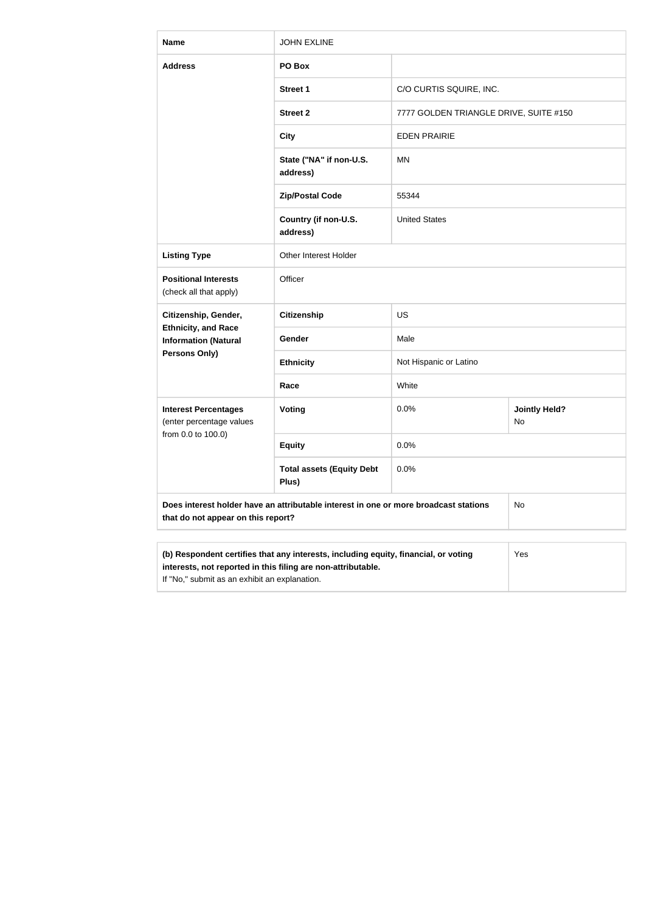| <b>Name</b>                                                                                                                                                | <b>JOHN EXLINE</b>                                                                   |                                        |                     |  |
|------------------------------------------------------------------------------------------------------------------------------------------------------------|--------------------------------------------------------------------------------------|----------------------------------------|---------------------|--|
| <b>Address</b>                                                                                                                                             | PO Box                                                                               |                                        |                     |  |
|                                                                                                                                                            | <b>Street 1</b>                                                                      | C/O CURTIS SQUIRE, INC.                |                     |  |
|                                                                                                                                                            | <b>Street 2</b>                                                                      | 7777 GOLDEN TRIANGLE DRIVE, SUITE #150 |                     |  |
|                                                                                                                                                            | <b>City</b>                                                                          | <b>EDEN PRAIRIE</b>                    |                     |  |
|                                                                                                                                                            | State ("NA" if non-U.S.<br>address)                                                  | MN                                     |                     |  |
|                                                                                                                                                            | <b>Zip/Postal Code</b>                                                               | 55344                                  |                     |  |
|                                                                                                                                                            | Country (if non-U.S.<br>address)                                                     | <b>United States</b>                   |                     |  |
| <b>Listing Type</b>                                                                                                                                        | Other Interest Holder                                                                |                                        |                     |  |
| <b>Positional Interests</b><br>(check all that apply)                                                                                                      | Officer                                                                              |                                        |                     |  |
| Citizenship, Gender,                                                                                                                                       | <b>Citizenship</b>                                                                   | <b>US</b>                              |                     |  |
| <b>Ethnicity, and Race</b><br><b>Information (Natural</b>                                                                                                  | Gender                                                                               | Male                                   |                     |  |
| <b>Persons Only)</b>                                                                                                                                       | <b>Ethnicity</b>                                                                     | Not Hispanic or Latino                 |                     |  |
|                                                                                                                                                            | Race                                                                                 | White                                  |                     |  |
| <b>Interest Percentages</b><br>(enter percentage values                                                                                                    | <b>Voting</b>                                                                        | 0.0%                                   | Jointly Held?<br>No |  |
| from 0.0 to 100.0)                                                                                                                                         | <b>Equity</b>                                                                        | 0.0%                                   |                     |  |
|                                                                                                                                                            | <b>Total assets (Equity Debt</b><br>Plus)                                            | 0.0%                                   |                     |  |
| that do not appear on this report?                                                                                                                         | Does interest holder have an attributable interest in one or more broadcast stations |                                        | No                  |  |
|                                                                                                                                                            |                                                                                      |                                        |                     |  |
| (b) Respondent certifies that any interests, including equity, financial, or voting<br>Yes<br>interests, not reported in this filing are non-attributable. |                                                                                      |                                        |                     |  |

If "No," submit as an exhibit an explanation.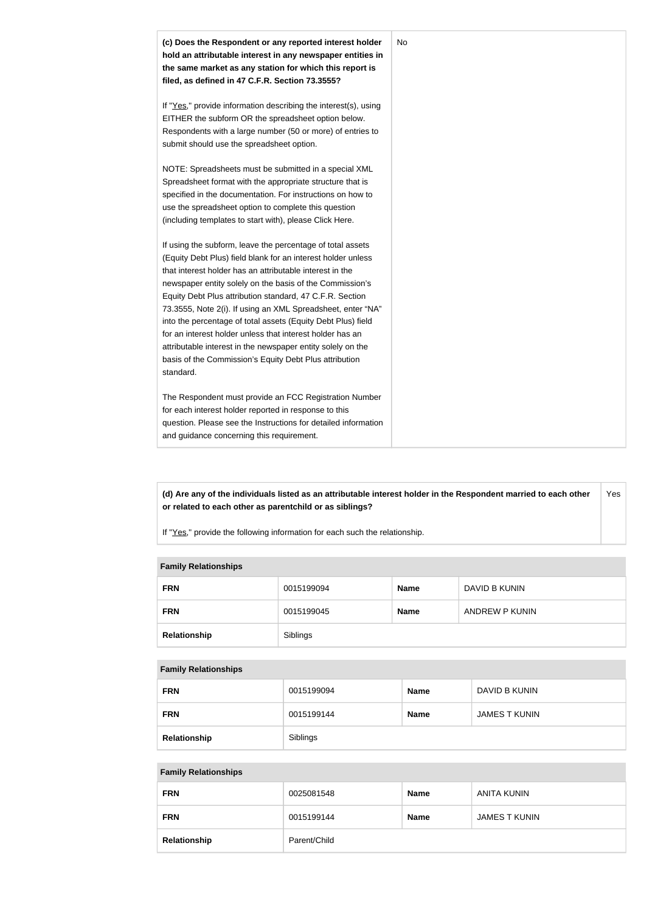

**(d) Are any of the individuals listed as an attributable interest holder in the Respondent married to each other or related to each other as parentchild or as siblings?** Yes

If "Yes," provide the following information for each such the relationship.

#### **Family Relationships**

| <b>FRN</b>   | 0015199094 | <b>Name</b> | DAVID B KUNIN  |
|--------------|------------|-------------|----------------|
| <b>FRN</b>   | 0015199045 | <b>Name</b> | ANDREW P KUNIN |
| Relationship | Siblings   |             |                |

#### **Family Relationships**

| <b>FRN</b>   | 0015199094 | <b>Name</b> | DAVID B KUNIN        |
|--------------|------------|-------------|----------------------|
| <b>FRN</b>   | 0015199144 | <b>Name</b> | <b>JAMES T KUNIN</b> |
| Relationship | Siblings   |             |                      |

#### **Family Relationships**

| <b>FRN</b>   | 0025081548   | <b>Name</b> | ANITA KUNIN          |
|--------------|--------------|-------------|----------------------|
| <b>FRN</b>   | 0015199144   | <b>Name</b> | <b>JAMES T KUNIN</b> |
| Relationship | Parent/Child |             |                      |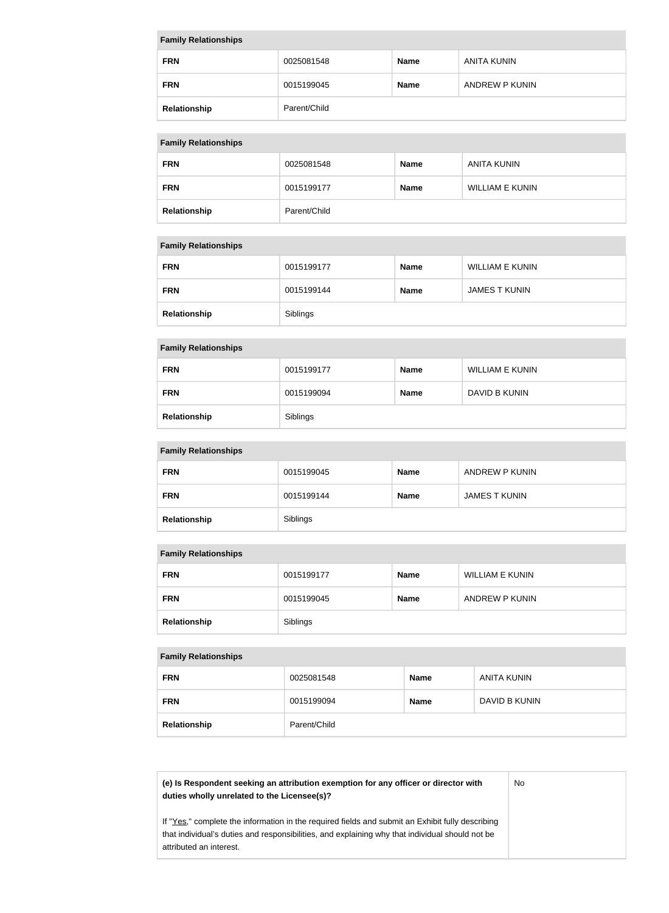| <b>Family Relationships</b> |              |             |                |  |
|-----------------------------|--------------|-------------|----------------|--|
| <b>FRN</b>                  | 0025081548   | <b>Name</b> | ANITA KUNIN    |  |
| <b>FRN</b>                  | 0015199045   | <b>Name</b> | ANDREW P KUNIN |  |
| Relationship                | Parent/Child |             |                |  |

#### **Family Relationships**

| $\sim$       |              |             |                    |
|--------------|--------------|-------------|--------------------|
| <b>FRN</b>   | 0025081548   | <b>Name</b> | <b>ANITA KUNIN</b> |
| <b>FRN</b>   | 0015199177   | <b>Name</b> | WILLIAM E KUNIN    |
| Relationship | Parent/Child |             |                    |

#### **Family Relationships**

| <b>FRN</b>   | 0015199177 | <b>Name</b> | <b>WILLIAM E KUNIN</b> |
|--------------|------------|-------------|------------------------|
| <b>FRN</b>   | 0015199144 | <b>Name</b> | <b>JAMES T KUNIN</b>   |
| Relationship | Siblings   |             |                        |

#### **Family Relationships**

| <b>FRN</b>   | 0015199177 | <b>Name</b> | <b>WILLIAM E KUNIN</b> |
|--------------|------------|-------------|------------------------|
| <b>FRN</b>   | 0015199094 | <b>Name</b> | DAVID B KUNIN          |
| Relationship | Siblings   |             |                        |

#### **Family Relationships**

| <b>FRN</b>   | 0015199045 | <b>Name</b> | ANDREW P KUNIN       |
|--------------|------------|-------------|----------------------|
| <b>FRN</b>   | 0015199144 | <b>Name</b> | <b>JAMES T KUNIN</b> |
| Relationship | Siblings   |             |                      |

#### **Family Relationships**

| <b>FRN</b>   | 0015199177 | <b>Name</b> | WILLIAM E KUNIN |
|--------------|------------|-------------|-----------------|
| <b>FRN</b>   | 0015199045 | <b>Name</b> | ANDREW P KUNIN  |
| Relationship | Siblings   |             |                 |

#### **Family Relationships**

| . .          |              |             |               |
|--------------|--------------|-------------|---------------|
| <b>FRN</b>   | 0025081548   | <b>Name</b> | ANITA KUNIN   |
| <b>FRN</b>   | 0015199094   | <b>Name</b> | DAVID B KUNIN |
| Relationship | Parent/Child |             |               |

**(e) Is Respondent seeking an attribution exemption for any officer or director with duties wholly unrelated to the Licensee(s)?**

No

If "Yes," complete the information in the required fields and submit an Exhibit fully describing that individual's duties and responsibilities, and explaining why that individual should not be attributed an interest.